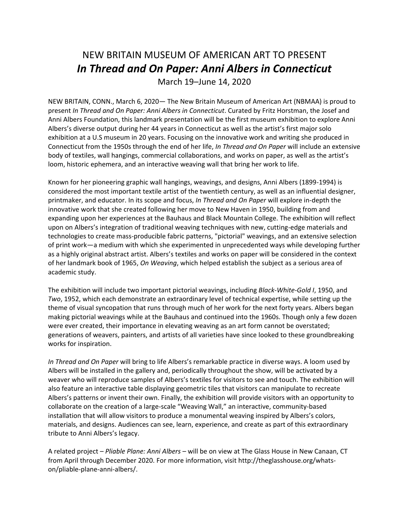# NEW BRITAIN MUSEUM OF AMERICAN ART TO PRESENT *In Thread and On Paper: Anni Albers in Connecticut*

March 19–June 14, 2020

NEW BRITAIN, CONN., March 6, 2020— The New Britain Museum of American Art (NBMAA) is proud to present *In Thread and On Paper: Anni Albers in Connecticut*. Curated by Fritz Horstman, the Josef and Anni Albers Foundation, this landmark presentation will be the first museum exhibition to explore Anni Albers's diverse output during her 44 years in Connecticut as well as the artist's first major solo exhibition at a U.S museum in 20 years. Focusing on the innovative work and writing she produced in Connecticut from the 1950s through the end of her life, *In Thread and On Paper* will include an extensive body of textiles, wall hangings, commercial collaborations, and works on paper, as well as the artist's loom, historic ephemera, and an interactive weaving wall that bring her work to life.

Known for her pioneering graphic wall hangings, weavings, and designs, Anni Albers (1899-1994) is considered the most important textile artist of the twentieth century, as well as an influential designer, printmaker, and educator. In its scope and focus, *In Thread and On Paper* will explore in-depth the innovative work that she created following her move to New Haven in 1950, building from and expanding upon her experiences at the Bauhaus and Black Mountain College. The exhibition will reflect upon on Albers's integration of traditional weaving techniques with new, cutting-edge materials and technologies to create mass-producible fabric patterns, "pictorial" weavings, and an extensive selection of print work—a medium with which she experimented in unprecedented ways while developing further as a highly original abstract artist. Albers's textiles and works on paper will be considered in the context of her landmark book of 1965, *On Weaving*, which helped establish the subject as a serious area of academic study.

The exhibition will include two important pictorial weavings, including *Black-White-Gold I*, 1950, and *Two*, 1952, which each demonstrate an extraordinary level of technical expertise, while setting up the theme of visual syncopation that runs through much of her work for the next forty years. Albers began making pictorial weavings while at the Bauhaus and continued into the 1960s. Though only a few dozen were ever created, their importance in elevating weaving as an art form cannot be overstated; generations of weavers, painters, and artists of all varieties have since looked to these groundbreaking works for inspiration.

*In Thread and On Paper* will bring to life Albers's remarkable practice in diverse ways. A loom used by Albers will be installed in the gallery and, periodically throughout the show, will be activated by a weaver who will reproduce samples of Albers's textiles for visitors to see and touch. The exhibition will also feature an interactive table displaying geometric tiles that visitors can manipulate to recreate Albers's patterns or invent their own. Finally, the exhibition will provide visitors with an opportunity to collaborate on the creation of a large-scale "Weaving Wall," an interactive, community-based installation that will allow visitors to produce a monumental weaving inspired by Albers's colors, materials, and designs. Audiences can see, learn, experience, and create as part of this extraordinary tribute to Anni Albers's legacy.

A related project – *Pliable Plane: Anni Albers* – will be on view at The Glass House in New Canaan, CT from April through December 2020. For more information, visit http://theglasshouse.org/whatson/pliable-plane-anni-albers/.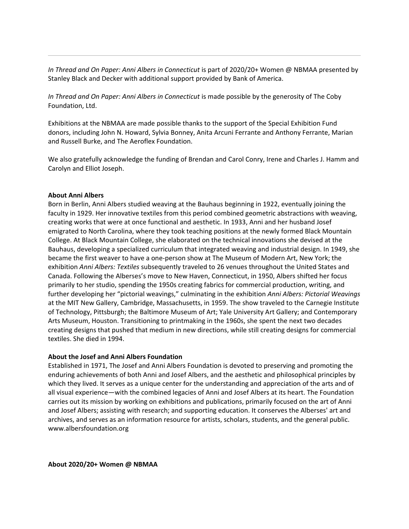*In Thread and On Paper: Anni Albers in Connecticut* is part of 2020/20+ Women @ NBMAA presented by Stanley Black and Decker with additional support provided by Bank of America.

In Thread and On Paper: Anni Albers in Connecticut is made possible by the generosity of The Coby Foundation, Ltd.

Exhibitions at the NBMAA are made possible thanks to the support of the Special Exhibition Fund donors, including John N. Howard, Sylvia Bonney, Anita Arcuni Ferrante and Anthony Ferrante, Marian and Russell Burke, and The Aeroflex Foundation.

We also gratefully acknowledge the funding of Brendan and Carol Conry, Irene and Charles J. Hamm and Carolyn and Elliot Joseph.

#### **About Anni Albers**

Born in Berlin, Anni Albers studied weaving at the Bauhaus beginning in 1922, eventually joining the faculty in 1929. Her innovative textiles from this period combined geometric abstractions with weaving, creating works that were at once functional and aesthetic. In 1933, Anni and her husband Josef emigrated to North Carolina, where they took teaching positions at the newly formed Black Mountain College. At Black Mountain College, she elaborated on the technical innovations she devised at the Bauhaus, developing a specialized curriculum that integrated weaving and industrial design. In 1949, she became the first weaver to have a one-person show at The Museum of Modern Art, New York; the exhibition *Anni Albers: Textiles* subsequently traveled to 26 venues throughout the United States and Canada. Following the Alberses's move to New Haven, Connecticut, in 1950, Albers shifted her focus primarily to her studio, spending the 1950s creating fabrics for commercial production, writing, and further developing her "pictorial weavings," culminating in the exhibition *Anni Albers: Pictorial Weavings* at the MIT New Gallery, Cambridge, Massachusetts, in 1959. The show traveled to the Carnegie Institute of Technology, Pittsburgh; the Baltimore Museum of Art; Yale University Art Gallery; and Contemporary Arts Museum, Houston. Transitioning to printmaking in the 1960s, she spent the next two decades creating designs that pushed that medium in new directions, while still creating designs for commercial textiles. She died in 1994.

#### **About the Josef and Anni Albers Foundation**

Established in 1971, The Josef and Anni Albers Foundation is devoted to preserving and promoting the enduring achievements of both Anni and Josef Albers, and the aesthetic and philosophical principles by which they lived. It serves as a unique center for the understanding and appreciation of the arts and of all visual experience—with the combined legacies of Anni and Josef Albers at its heart. The Foundation carries out its mission by working on exhibitions and publications, primarily focused on the art of Anni and Josef Albers; assisting with research; and supporting education. It conserves the Alberses' art and archives, and serves as an information resource for artists, scholars, students, and the general public. www.albersfoundation.org

**About 2020/20+ Women @ NBMAA**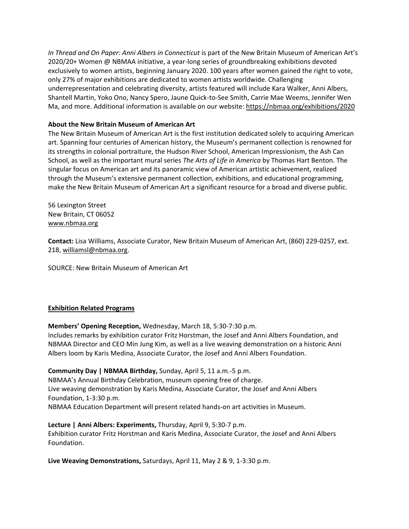*In Thread and On Paper: Anni Albers in Connecticut* is part of the New Britain Museum of American Art's 2020/20+ Women @ NBMAA initiative, a year-long series of groundbreaking exhibitions devoted exclusively to women artists, beginning January 2020. 100 years after women gained the right to vote, only 27% of major exhibitions are dedicated to women artists worldwide. Challenging underrepresentation and celebrating diversity, artists featured will include Kara Walker, Anni Albers, Shantell Martin, Yoko Ono, Nancy Spero, Jaune Quick-to-See Smith, Carrie Mae Weems, Jennifer Wen Ma, and more. Additional information is available on our website:<https://nbmaa.org/exhibitions/2020>

#### **About the New Britain Museum of American Art**

The New Britain Museum of American Art is the first institution dedicated solely to acquiring American art. Spanning four centuries of American history, the Museum's permanent collection is renowned for its strengths in colonial portraiture, the Hudson River School, American Impressionism, the Ash Can School, as well as the important mural series *The Arts of Life in America* by Thomas Hart Benton. The singular focus on American art and its panoramic view of American artistic achievement, realized through the Museum's extensive permanent collection, exhibitions, and educational programming, make the New Britain Museum of American Art a significant resource for a broad and diverse public.

56 Lexington Street New Britain, CT 06052 [www.nbmaa.org](http://www.nbmaa.org/)

**Contact:** Lisa Williams, Associate Curator, New Britain Museum of American Art, (860) 229-0257, ext. 218, [williamsl@nbmaa.org.](mailto:williamsl@nbmaa.org)

SOURCE: New Britain Museum of American Art

#### **Exhibition Related Programs**

**Members' Opening Reception,** Wednesday, March 18, 5:30-7:30 p.m.

Includes remarks by exhibition curator Fritz Horstman, the Josef and Anni Albers Foundation, and NBMAA Director and CEO Min Jung Kim, as well as a live weaving demonstration on a historic Anni Albers loom by Karis Medina, Associate Curator, the Josef and Anni Albers Foundation.

**Community Day | NBMAA Birthday,** Sunday, April 5, 11 a.m.-5 p.m.

NBMAA's Annual Birthday Celebration, museum opening free of charge. Live weaving demonstration by Karis Medina, Associate Curator, the Josef and Anni Albers Foundation, 1-3:30 p.m.

NBMAA Education Department will present related hands-on art activities in Museum.

#### **Lecture | Anni Albers: Experiments,** Thursday, April 9, 5:30-7 p.m.

Exhibition curator Fritz Horstman and Karis Medina, Associate Curator, the Josef and Anni Albers Foundation.

**Live Weaving Demonstrations,** Saturdays, April 11, May 2 & 9, 1-3:30 p.m.